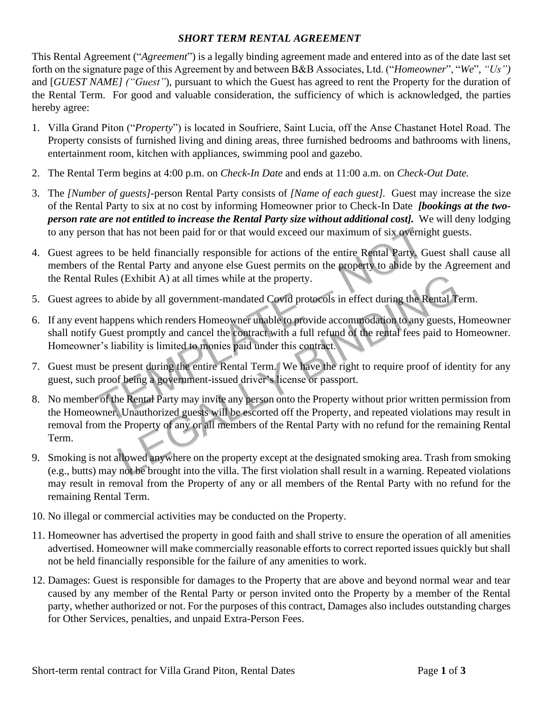## *SHORT TERM RENTAL AGREEMENT*

This Rental Agreement ("*Agreement*") is a legally binding agreement made and entered into as of the date last set forth on the signature page of this Agreement by and between B&B Associates, Ltd. ("*Homeowner*", "*We*", *"Us")* and [*GUEST NAME] ("Guest"*), pursuant to which the Guest has agreed to rent the Property for the duration of the Rental Term. For good and valuable consideration, the sufficiency of which is acknowledged, the parties hereby agree:

- 1. Villa Grand Piton ("*Property*") is located in Soufriere, Saint Lucia, off the Anse Chastanet Hotel Road. The Property consists of furnished living and dining areas, three furnished bedrooms and bathrooms with linens, entertainment room, kitchen with appliances, swimming pool and gazebo.
- 2. The Rental Term begins at 4:00 p.m. on *Check-In Date* and ends at 11:00 a.m. on *Check-Out Date.*
- 3. The *[Number of guests]*-person Rental Party consists of *[Name of each guest].* Guest may increase the size of the Rental Party to six at no cost by informing Homeowner prior to Check-In Date *[bookings at the twoperson rate are not entitled to increase the Rental Party size without additional cost].* We will deny lodging to any person that has not been paid for or that would exceed our maximum of six overnight guests.
- 4. Guest agrees to be held financially responsible for actions of the entire Rental Party. Guest shall cause all members of the Rental Party and anyone else Guest permits on the property to abide by the Agreement and the Rental Rules (Exhibit A) at all times while at the property.
- 5. Guest agrees to abide by all government-mandated Covid protocols in effect during the Rental Term.
- 6. If any event happens which renders Homeowner unable to provide accommodation to any guests, Homeowner shall notify Guest promptly and cancel the contract with a full refund of the rental fees paid to Homeowner. Homeowner's liability is limited to monies paid under this contract.
- 7. Guest must be present during the entire Rental Term. We have the right to require proof of identity for any guest, such proof being a government-issued driver's license or passport.
- 8. No member of the Rental Party may invite any person onto the Property without prior written permission from the Homeowner. Unauthorized guests will be escorted off the Property, and repeated violations may result in removal from the Property of any or all members of the Rental Party with no refund for the remaining Rental Term.
- 9. Smoking is not allowed anywhere on the property except at the designated smoking area. Trash from smoking (e.g., butts) may not be brought into the villa. The first violation shall result in a warning. Repeated violations may result in removal from the Property of any or all members of the Rental Party with no refund for the remaining Rental Term.
- 10. No illegal or commercial activities may be conducted on the Property.
- 11. Homeowner has advertised the property in good faith and shall strive to ensure the operation of all amenities advertised. Homeowner will make commercially reasonable efforts to correct reported issues quickly but shall not be held financially responsible for the failure of any amenities to work.
- 12. Damages: Guest is responsible for damages to the Property that are above and beyond normal wear and tear caused by any member of the Rental Party or person invited onto the Property by a member of the Rental party, whether authorized or not. For the purposes of this contract, Damages also includes outstanding charges for Other Services, penalties, and unpaid Extra-Person Fees.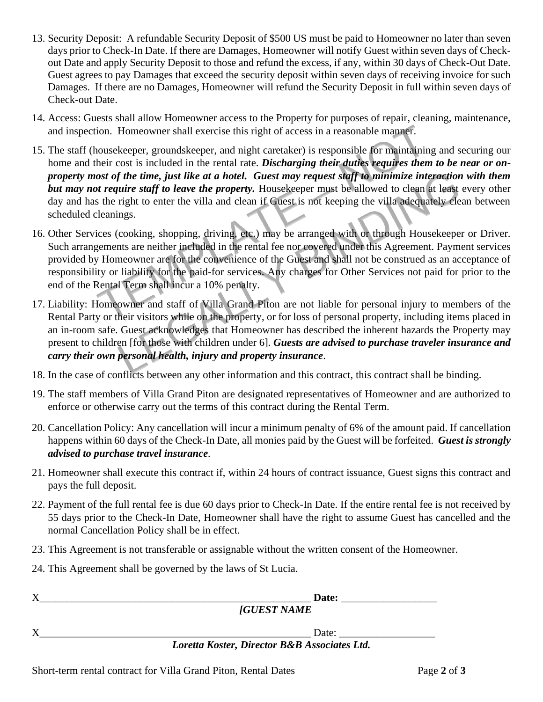- 13. Security Deposit: A refundable Security Deposit of \$500 US must be paid to Homeowner no later than seven days prior to Check-In Date. If there are Damages, Homeowner will notify Guest within seven days of Checkout Date and apply Security Deposit to those and refund the excess, if any, within 30 days of Check-Out Date. Guest agrees to pay Damages that exceed the security deposit within seven days of receiving invoice for such Damages. If there are no Damages, Homeowner will refund the Security Deposit in full within seven days of Check-out Date.
- 14. Access: Guests shall allow Homeowner access to the Property for purposes of repair, cleaning, maintenance, and inspection. Homeowner shall exercise this right of access in a reasonable manner.
- 15. The staff (housekeeper, groundskeeper, and night caretaker) is responsible for maintaining and securing our home and their cost is included in the rental rate. *Discharging their duties requires them to be near or onproperty most of the time, just like at a hotel. Guest may request staff to minimize interaction with them but may not require staff to leave the property.* Housekeeper must be allowed to clean at least every other day and has the right to enter the villa and clean if Guest is not keeping the villa adequately clean between scheduled cleanings.
- 16. Other Services (cooking, shopping, driving, etc.) may be arranged with or through Housekeeper or Driver. Such arrangements are neither included in the rental fee nor covered under this Agreement. Payment services provided by Homeowner are for the convenience of the Guest and shall not be construed as an acceptance of responsibility or liability for the paid-for services. Any charges for Other Services not paid for prior to the end of the Rental Term shall incur a 10% penalty.
- 17. Liability: Homeowner and staff of Villa Grand Piton are not liable for personal injury to members of the Rental Party or their visitors while on the property, or for loss of personal property, including items placed in an in-room safe. Guest acknowledges that Homeowner has described the inherent hazards the Property may present to children [for those with children under 6]. *Guests are advised to purchase traveler insurance and carry their own personal health, injury and property insurance*.
- 18. In the case of conflicts between any other information and this contract, this contract shall be binding.
- 19. The staff members of Villa Grand Piton are designated representatives of Homeowner and are authorized to enforce or otherwise carry out the terms of this contract during the Rental Term.
- 20. Cancellation Policy: Any cancellation will incur a minimum penalty of 6% of the amount paid. If cancellation happens within 60 days of the Check-In Date, all monies paid by the Guest will be forfeited. *Guest is strongly advised to purchase travel insurance.*
- 21. Homeowner shall execute this contract if, within 24 hours of contract issuance, Guest signs this contract and pays the full deposit.
- 22. Payment of the full rental fee is due 60 days prior to Check-In Date. If the entire rental fee is not received by 55 days prior to the Check-In Date, Homeowner shall have the right to assume Guest has cancelled and the normal Cancellation Policy shall be in effect.
- 23. This Agreement is not transferable or assignable without the written consent of the Homeowner.
- 24. This Agreement shall be governed by the laws of St Lucia.

| Date:                                        |  |
|----------------------------------------------|--|
| <b>[GUEST NAME</b>                           |  |
| Date:                                        |  |
| Loretta Koster, Director B&B Associates Ltd. |  |